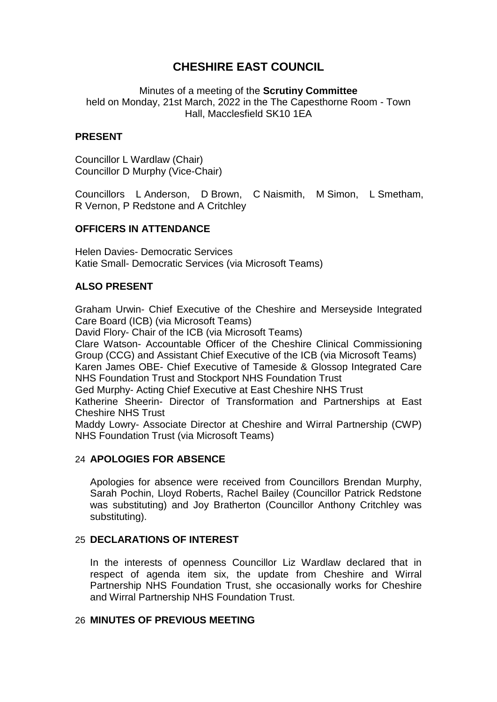# **CHESHIRE EAST COUNCIL**

Minutes of a meeting of the **Scrutiny Committee** held on Monday, 21st March, 2022 in the The Capesthorne Room - Town Hall, Macclesfield SK10 1EA

## **PRESENT**

Councillor L Wardlaw (Chair) Councillor D Murphy (Vice-Chair)

Councillors L Anderson, D Brown, C Naismith, M Simon, L Smetham, R Vernon, P Redstone and A Critchley

## **OFFICERS IN ATTENDANCE**

Helen Davies- Democratic Services Katie Small- Democratic Services (via Microsoft Teams)

## **ALSO PRESENT**

Graham Urwin- Chief Executive of the Cheshire and Merseyside Integrated Care Board (ICB) (via Microsoft Teams)

David Flory- Chair of the ICB (via Microsoft Teams)

Clare Watson- Accountable Officer of the Cheshire Clinical Commissioning Group (CCG) and Assistant Chief Executive of the ICB (via Microsoft Teams)

Karen James OBE- Chief Executive of Tameside & Glossop Integrated Care NHS Foundation Trust and Stockport NHS Foundation Trust

Ged Murphy- Acting Chief Executive at East Cheshire NHS Trust

Katherine Sheerin- Director of Transformation and Partnerships at East Cheshire NHS Trust

Maddy Lowry- Associate Director at Cheshire and Wirral Partnership (CWP) NHS Foundation Trust (via Microsoft Teams)

### 24 **APOLOGIES FOR ABSENCE**

Apologies for absence were received from Councillors Brendan Murphy, Sarah Pochin, Lloyd Roberts, Rachel Bailey (Councillor Patrick Redstone was substituting) and Joy Bratherton (Councillor Anthony Critchley was substituting).

### 25 **DECLARATIONS OF INTEREST**

In the interests of openness Councillor Liz Wardlaw declared that in respect of agenda item six, the update from Cheshire and Wirral Partnership NHS Foundation Trust, she occasionally works for Cheshire and Wirral Partnership NHS Foundation Trust.

### 26 **MINUTES OF PREVIOUS MEETING**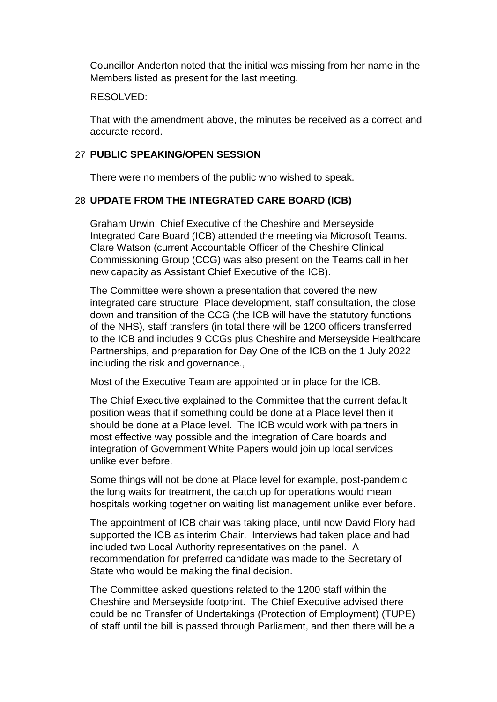Councillor Anderton noted that the initial was missing from her name in the Members listed as present for the last meeting.

#### RESOLVED:

That with the amendment above, the minutes be received as a correct and accurate record.

#### 27 **PUBLIC SPEAKING/OPEN SESSION**

There were no members of the public who wished to speak.

### 28 **UPDATE FROM THE INTEGRATED CARE BOARD (ICB)**

Graham Urwin, Chief Executive of the Cheshire and Merseyside Integrated Care Board (ICB) attended the meeting via Microsoft Teams. Clare Watson (current Accountable Officer of the Cheshire Clinical Commissioning Group (CCG) was also present on the Teams call in her new capacity as Assistant Chief Executive of the ICB).

The Committee were shown a presentation that covered the new integrated care structure, Place development, staff consultation, the close down and transition of the CCG (the ICB will have the statutory functions of the NHS), staff transfers (in total there will be 1200 officers transferred to the ICB and includes 9 CCGs plus Cheshire and Merseyside Healthcare Partnerships, and preparation for Day One of the ICB on the 1 July 2022 including the risk and governance.,

Most of the Executive Team are appointed or in place for the ICB.

The Chief Executive explained to the Committee that the current default position weas that if something could be done at a Place level then it should be done at a Place level. The ICB would work with partners in most effective way possible and the integration of Care boards and integration of Government White Papers would join up local services unlike ever before.

Some things will not be done at Place level for example, post-pandemic the long waits for treatment, the catch up for operations would mean hospitals working together on waiting list management unlike ever before.

The appointment of ICB chair was taking place, until now David Flory had supported the ICB as interim Chair. Interviews had taken place and had included two Local Authority representatives on the panel. A recommendation for preferred candidate was made to the Secretary of State who would be making the final decision.

The Committee asked questions related to the 1200 staff within the Cheshire and Merseyside footprint. The Chief Executive advised there could be no Transfer of Undertakings (Protection of Employment) (TUPE) of staff until the bill is passed through Parliament, and then there will be a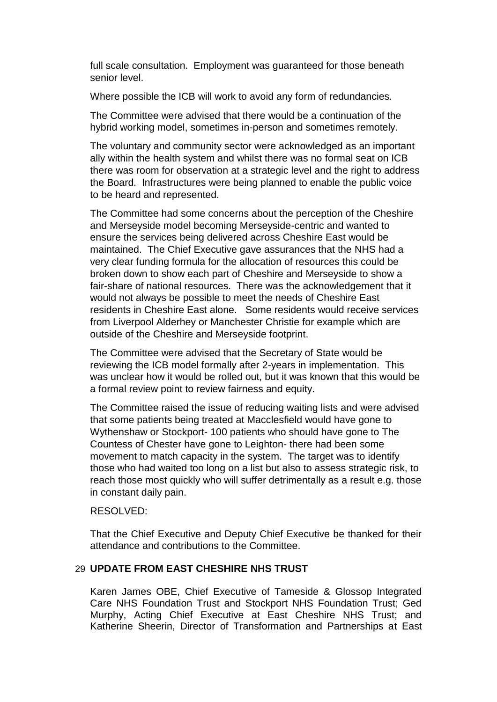full scale consultation. Employment was guaranteed for those beneath senior level.

Where possible the ICB will work to avoid any form of redundancies.

The Committee were advised that there would be a continuation of the hybrid working model, sometimes in-person and sometimes remotely.

The voluntary and community sector were acknowledged as an important ally within the health system and whilst there was no formal seat on ICB there was room for observation at a strategic level and the right to address the Board. Infrastructures were being planned to enable the public voice to be heard and represented.

The Committee had some concerns about the perception of the Cheshire and Merseyside model becoming Merseyside-centric and wanted to ensure the services being delivered across Cheshire East would be maintained. The Chief Executive gave assurances that the NHS had a very clear funding formula for the allocation of resources this could be broken down to show each part of Cheshire and Merseyside to show a fair-share of national resources. There was the acknowledgement that it would not always be possible to meet the needs of Cheshire East residents in Cheshire East alone. Some residents would receive services from Liverpool Alderhey or Manchester Christie for example which are outside of the Cheshire and Merseyside footprint.

The Committee were advised that the Secretary of State would be reviewing the ICB model formally after 2-years in implementation. This was unclear how it would be rolled out, but it was known that this would be a formal review point to review fairness and equity.

The Committee raised the issue of reducing waiting lists and were advised that some patients being treated at Macclesfield would have gone to Wythenshaw or Stockport- 100 patients who should have gone to The Countess of Chester have gone to Leighton- there had been some movement to match capacity in the system. The target was to identify those who had waited too long on a list but also to assess strategic risk, to reach those most quickly who will suffer detrimentally as a result e.g. those in constant daily pain.

#### RESOLVED:

That the Chief Executive and Deputy Chief Executive be thanked for their attendance and contributions to the Committee.

### 29 **UPDATE FROM EAST CHESHIRE NHS TRUST**

Karen James OBE, Chief Executive of Tameside & Glossop Integrated Care NHS Foundation Trust and Stockport NHS Foundation Trust; Ged Murphy, Acting Chief Executive at East Cheshire NHS Trust; and Katherine Sheerin, Director of Transformation and Partnerships at East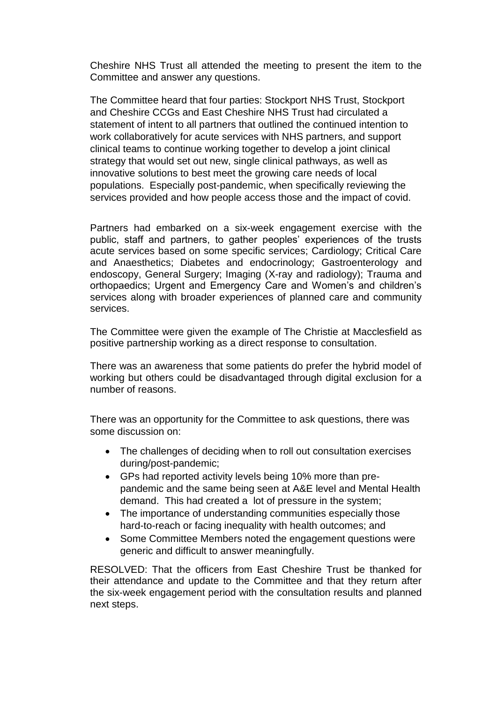Cheshire NHS Trust all attended the meeting to present the item to the Committee and answer any questions.

The Committee heard that four parties: Stockport NHS Trust, Stockport and Cheshire CCGs and East Cheshire NHS Trust had circulated a statement of intent to all partners that outlined the continued intention to work collaboratively for acute services with NHS partners, and support clinical teams to continue working together to develop a joint clinical strategy that would set out new, single clinical pathways, as well as innovative solutions to best meet the growing care needs of local populations. Especially post-pandemic, when specifically reviewing the services provided and how people access those and the impact of covid.

Partners had embarked on a six-week engagement exercise with the public, staff and partners, to gather peoples' experiences of the trusts acute services based on some specific services; Cardiology; Critical Care and Anaesthetics; Diabetes and endocrinology; Gastroenterology and endoscopy, General Surgery; Imaging (X-ray and radiology); Trauma and orthopaedics; Urgent and Emergency Care and Women's and children's services along with broader experiences of planned care and community services.

The Committee were given the example of The Christie at Macclesfield as positive partnership working as a direct response to consultation.

There was an awareness that some patients do prefer the hybrid model of working but others could be disadvantaged through digital exclusion for a number of reasons.

There was an opportunity for the Committee to ask questions, there was some discussion on:

- The challenges of deciding when to roll out consultation exercises during/post-pandemic;
- GPs had reported activity levels being 10% more than prepandemic and the same being seen at A&E level and Mental Health demand. This had created a lot of pressure in the system;
- The importance of understanding communities especially those hard-to-reach or facing inequality with health outcomes; and
- Some Committee Members noted the engagement questions were generic and difficult to answer meaningfully.

RESOLVED: That the officers from East Cheshire Trust be thanked for their attendance and update to the Committee and that they return after the six-week engagement period with the consultation results and planned next steps.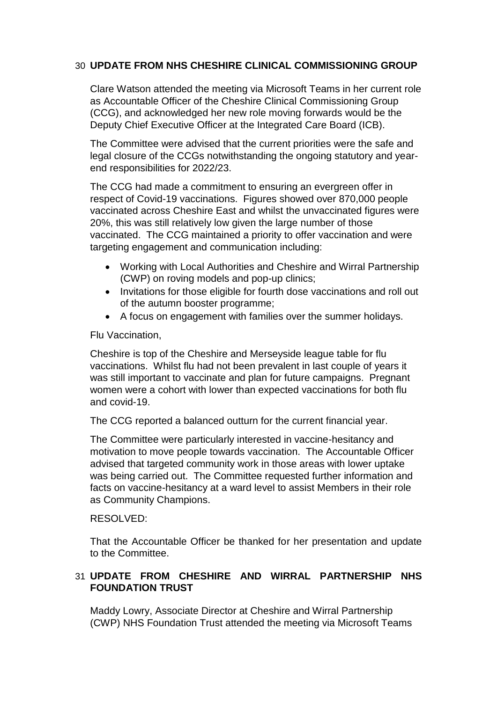## 30 **UPDATE FROM NHS CHESHIRE CLINICAL COMMISSIONING GROUP**

Clare Watson attended the meeting via Microsoft Teams in her current role as Accountable Officer of the Cheshire Clinical Commissioning Group (CCG), and acknowledged her new role moving forwards would be the Deputy Chief Executive Officer at the Integrated Care Board (ICB).

The Committee were advised that the current priorities were the safe and legal closure of the CCGs notwithstanding the ongoing statutory and yearend responsibilities for 2022/23.

The CCG had made a commitment to ensuring an evergreen offer in respect of Covid-19 vaccinations. Figures showed over 870,000 people vaccinated across Cheshire East and whilst the unvaccinated figures were 20%, this was still relatively low given the large number of those vaccinated. The CCG maintained a priority to offer vaccination and were targeting engagement and communication including:

- Working with Local Authorities and Cheshire and Wirral Partnership (CWP) on roving models and pop-up clinics;
- Invitations for those eligible for fourth dose vaccinations and roll out of the autumn booster programme;
- A focus on engagement with families over the summer holidays.

Flu Vaccination,

Cheshire is top of the Cheshire and Merseyside league table for flu vaccinations. Whilst flu had not been prevalent in last couple of years it was still important to vaccinate and plan for future campaigns. Pregnant women were a cohort with lower than expected vaccinations for both flu and covid-19.

The CCG reported a balanced outturn for the current financial year.

The Committee were particularly interested in vaccine-hesitancy and motivation to move people towards vaccination. The Accountable Officer advised that targeted community work in those areas with lower uptake was being carried out. The Committee requested further information and facts on vaccine-hesitancy at a ward level to assist Members in their role as Community Champions.

### RESOLVED:

That the Accountable Officer be thanked for her presentation and update to the Committee.

## 31 **UPDATE FROM CHESHIRE AND WIRRAL PARTNERSHIP NHS FOUNDATION TRUST**

Maddy Lowry, Associate Director at Cheshire and Wirral Partnership (CWP) NHS Foundation Trust attended the meeting via Microsoft Teams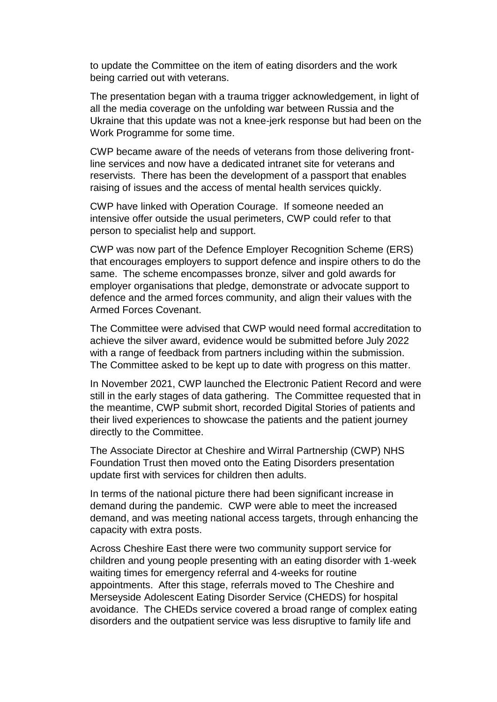to update the Committee on the item of eating disorders and the work being carried out with veterans.

The presentation began with a trauma trigger acknowledgement, in light of all the media coverage on the unfolding war between Russia and the Ukraine that this update was not a knee-jerk response but had been on the Work Programme for some time.

CWP became aware of the needs of veterans from those delivering frontline services and now have a dedicated intranet site for veterans and reservists. There has been the development of a passport that enables raising of issues and the access of mental health services quickly.

CWP have linked with Operation Courage. If someone needed an intensive offer outside the usual perimeters, CWP could refer to that person to specialist help and support.

CWP was now part of the Defence Employer Recognition Scheme (ERS) that encourages employers to support defence and inspire others to do the same. The scheme encompasses bronze, silver and gold awards for employer organisations that pledge, demonstrate or advocate support to defence and the armed forces community, and align their values with the Armed Forces Covenant.

The Committee were advised that CWP would need formal accreditation to achieve the silver award, evidence would be submitted before July 2022 with a range of feedback from partners including within the submission. The Committee asked to be kept up to date with progress on this matter.

In November 2021, CWP launched the Electronic Patient Record and were still in the early stages of data gathering. The Committee requested that in the meantime, CWP submit short, recorded Digital Stories of patients and their lived experiences to showcase the patients and the patient journey directly to the Committee.

The Associate Director at Cheshire and Wirral Partnership (CWP) NHS Foundation Trust then moved onto the Eating Disorders presentation update first with services for children then adults.

In terms of the national picture there had been significant increase in demand during the pandemic. CWP were able to meet the increased demand, and was meeting national access targets, through enhancing the capacity with extra posts.

Across Cheshire East there were two community support service for children and young people presenting with an eating disorder with 1-week waiting times for emergency referral and 4-weeks for routine appointments. After this stage, referrals moved to The Cheshire and Merseyside Adolescent Eating Disorder Service (CHEDS) for hospital avoidance. The CHEDs service covered a broad range of complex eating disorders and the outpatient service was less disruptive to family life and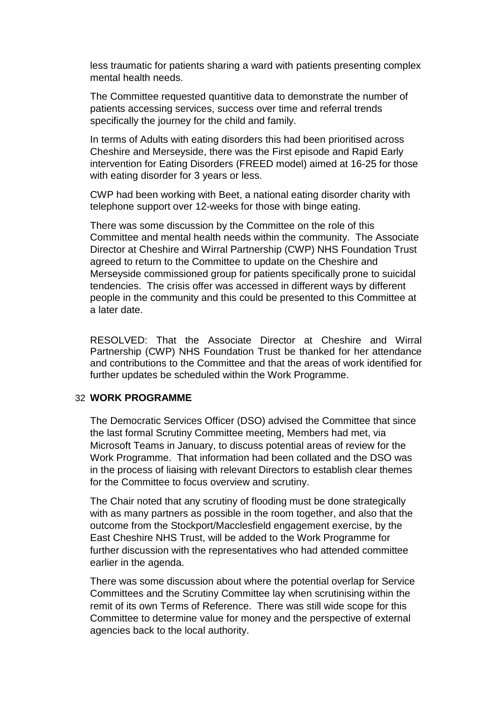less traumatic for patients sharing a ward with patients presenting complex mental health needs.

The Committee requested quantitive data to demonstrate the number of patients accessing services, success over time and referral trends specifically the journey for the child and family.

In terms of Adults with eating disorders this had been prioritised across Cheshire and Merseyside, there was the First episode and Rapid Early intervention for Eating Disorders (FREED model) aimed at 16-25 for those with eating disorder for 3 years or less.

CWP had been working with Beet, a national eating disorder charity with telephone support over 12-weeks for those with binge eating.

There was some discussion by the Committee on the role of this Committee and mental health needs within the community. The Associate Director at Cheshire and Wirral Partnership (CWP) NHS Foundation Trust agreed to return to the Committee to update on the Cheshire and Merseyside commissioned group for patients specifically prone to suicidal tendencies. The crisis offer was accessed in different ways by different people in the community and this could be presented to this Committee at a later date.

RESOLVED: That the Associate Director at Cheshire and Wirral Partnership (CWP) NHS Foundation Trust be thanked for her attendance and contributions to the Committee and that the areas of work identified for further updates be scheduled within the Work Programme.

### 32 **WORK PROGRAMME**

The Democratic Services Officer (DSO) advised the Committee that since the last formal Scrutiny Committee meeting, Members had met, via Microsoft Teams in January, to discuss potential areas of review for the Work Programme. That information had been collated and the DSO was in the process of liaising with relevant Directors to establish clear themes for the Committee to focus overview and scrutiny.

The Chair noted that any scrutiny of flooding must be done strategically with as many partners as possible in the room together, and also that the outcome from the Stockport/Macclesfield engagement exercise, by the East Cheshire NHS Trust, will be added to the Work Programme for further discussion with the representatives who had attended committee earlier in the agenda.

There was some discussion about where the potential overlap for Service Committees and the Scrutiny Committee lay when scrutinising within the remit of its own Terms of Reference. There was still wide scope for this Committee to determine value for money and the perspective of external agencies back to the local authority.